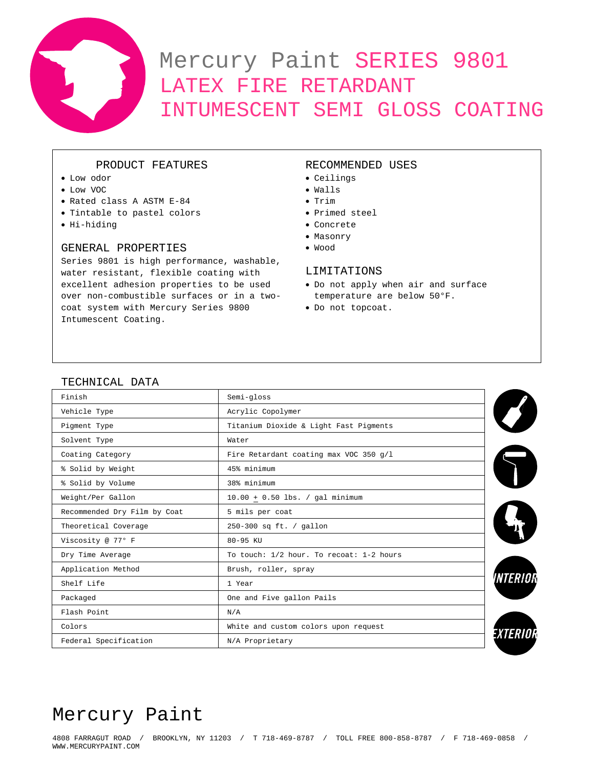

# Mercury Paint SERIES 9801 LATEX FIRE RETARDANT INTUMESCENT SEMI GLOSS COATING

## PRODUCT FEATURES

- Low odor
- Low VOC
- Rated class A ASTM E-84
- Tintable to pastel colors
- Hi-hiding

## GENERAL PROPERTIES

Series 9801 is high performance, washable, water resistant, flexible coating with excellent adhesion properties to be used over non-combustible surfaces or in a twocoat system with Mercury Series 9800 Intumescent Coating.

## RECOMMENDED USES

#### • Ceilings

- Walls
- Trim
- Primed steel
- Concrete
- Masonry
- Wood

## LIMITATIONS

- Do not apply when air and surface temperature are below 50°F.
- Do not topcoat.

## TECHNICAL DATA

| Finish                       | Semi-gloss                               |                 |
|------------------------------|------------------------------------------|-----------------|
| Vehicle Type                 | Acrylic Copolymer                        |                 |
| Pigment Type                 | Titanium Dioxide & Light Fast Pigments   |                 |
| Solvent Type                 | Water                                    |                 |
| Coating Category             | Fire Retardant coating max VOC 350 g/l   |                 |
| % Solid by Weight            | 45% minimum                              |                 |
| % Solid by Volume            | 38% minimum                              |                 |
| Weight/Per Gallon            | $10.00 + 0.50$ lbs. / gal minimum        |                 |
| Recommended Dry Film by Coat | 5 mils per coat                          |                 |
| Theoretical Coverage         | 250-300 sq ft. / gallon                  |                 |
| Viscosity @ 77° F            | 80-95 KU                                 |                 |
| Dry Time Average             | To touch: 1/2 hour. To recoat: 1-2 hours |                 |
| Application Method           | Brush, roller, spray                     |                 |
| Shelf Life                   | 1 Year                                   | <i>VNTERIOR</i> |
| Packaged                     | One and Five gallon Pails                |                 |
| Flash Point                  | N/A                                      |                 |
| Colors                       | White and custom colors upon request     |                 |
| Federal Specification        | N/A Proprietary                          | exterio         |

## Mercury Paint